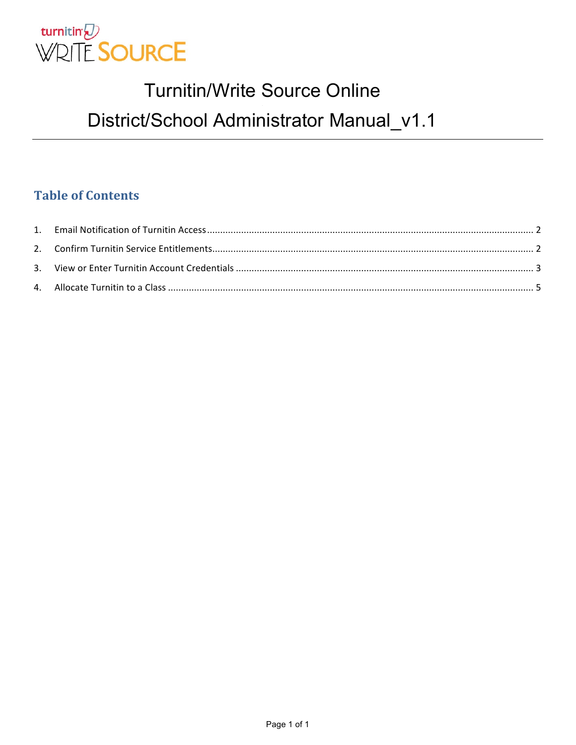

# **Turnitin/Write Source Online**

### District/School Administrator Manual\_v1.1

### **Table of Contents**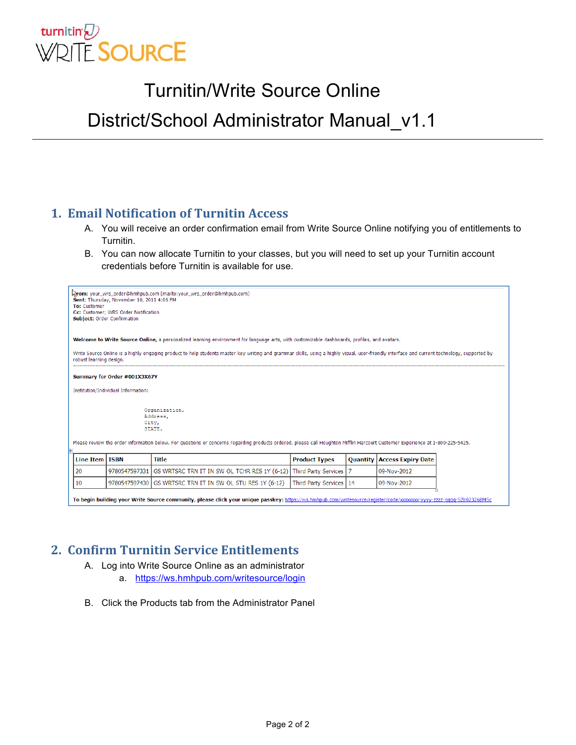

### Turnitin/Write Source Online

District/School Administrator Manual\_v1.1

#### **1. Email Notification of Turnitin Access**

- A. You will receive an order confirmation email from Write Source Online notifying you of entitlements to Turnitin.
- B. You can now allocate Turnitin to your classes, but you will need to set up your Turnitin account credentials before Turnitin is available for use.

| kerom: your_wrs_order@hmhpub.com [mailto:your_wrs_order@hmhpub.com]<br>Sent: Thursday, November 10, 2011 4:06 PM<br>To: Customer<br>Cc: Customer: WRS Order Notification<br>Subject: Order Confirmation                       |                                     |                                                                                                                                                                                              |                           |    |                                    |  |  |  |  |
|-------------------------------------------------------------------------------------------------------------------------------------------------------------------------------------------------------------------------------|-------------------------------------|----------------------------------------------------------------------------------------------------------------------------------------------------------------------------------------------|---------------------------|----|------------------------------------|--|--|--|--|
| Welcome to Write Source Online, a personalized learning environment for language arts, with customizable dashboards, profiles, and avatars.                                                                                   |                                     |                                                                                                                                                                                              |                           |    |                                    |  |  |  |  |
| robust learning design.                                                                                                                                                                                                       |                                     | Write Source Online is a highly engaging product to help students master key writing and grammar skills, using a highly visual, user-friendly interface and current technology, supported by |                           |    |                                    |  |  |  |  |
|                                                                                                                                                                                                                               | Summary for Order #001X3X67Y        |                                                                                                                                                                                              |                           |    |                                    |  |  |  |  |
|                                                                                                                                                                                                                               | Institution/Individual Information: |                                                                                                                                                                                              |                           |    |                                    |  |  |  |  |
| Organization,<br>Address.<br>City,<br>STATE.<br>Please review the order information below. For questions or concerns regarding products ordered, please call Houghton Mifflin Harcourt Customer Experience at 1-800-225-5425. |                                     |                                                                                                                                                                                              |                           |    |                                    |  |  |  |  |
| Line Item $ $ ISBN                                                                                                                                                                                                            |                                     | <b>Title</b>                                                                                                                                                                                 | <b>Product Types</b>      |    | <b>Quantity Access Expiry Date</b> |  |  |  |  |
| 20                                                                                                                                                                                                                            | 9780547597331                       | GS WRTSRC TRN IT IN SW OL TCHR RES 1Y (6-12)                                                                                                                                                 | Third Party Services      | 17 | 09-Nov-2012                        |  |  |  |  |
| 10                                                                                                                                                                                                                            | 9780547597430                       | GS WRTSRC TRN IT IN SW OL STU RES 1Y (6-12)                                                                                                                                                  | Third Party Services   14 |    | 09-Nov-2012                        |  |  |  |  |

To begin building your Write Source community, please click your unique passkey: https://ws.hmhpub.com/writesource/register/code/xxxxxxxxyyy-zzzz-qqqq-52b023268f45c

### **2. Confirm Turnitin Service Entitlements**

- A. Log into Write Source Online as an administrator
	- a. https://ws.hmhpub.com/writesource/login
- B. Click the Products tab from the Administrator Panel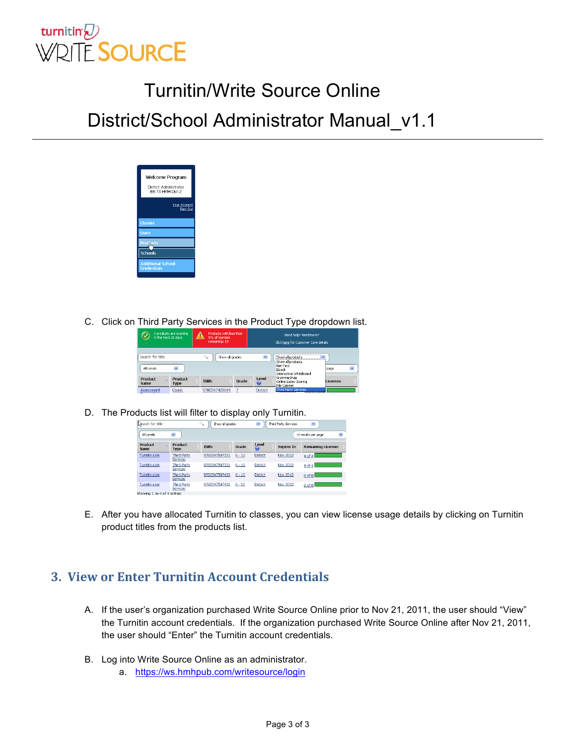

### Turnitin/Write Source Online District/School Administrator Manual\_v1.1



C. Click on Third Party Services in the Product Type dropdown list.

| 0 products are expiring<br>Products with less than<br>in the next 30 days<br>5% of licenses<br>remaining: 19 |                      |                 |       |                 | Need help? Need more?<br>Click here for Customer Care details                                   |                      |
|--------------------------------------------------------------------------------------------------------------|----------------------|-----------------|-------|-----------------|-------------------------------------------------------------------------------------------------|----------------------|
| Search for title<br>All Levels                                                                               | $\ddot{\phantom{1}}$ | Show all grades |       | $\ddotmark$     | Show all products<br>$\sim$<br>Show all products<br>Net-Text<br>Ebook<br>Interactive Whiteboard | $\checkmark$<br>page |
| Product<br>Name                                                                                              | Product<br>Type      | <b>TSBN</b>     | Grade | Level<br>മ      | GrammarSnap<br>Online Essay Scoring<br>File Cabinet                                             | Licenses             |
| Assessment<br>_____                                                                                          | Ebook                | 9780547429649   |       | <b>District</b> | Third Party Services<br><b>STARTING CONTRACT</b>                                                |                      |

D. The Products list will filter to display only Turnitin.

| arch for title              |                                | Show all grades |          | $\checkmark$    | Third Party Services | $\checkmark$                        |
|-----------------------------|--------------------------------|-----------------|----------|-----------------|----------------------|-------------------------------------|
| All Levels                  | $\checkmark$                   |                 |          |                 |                      | $\checkmark$<br>10 results per page |
| Product<br>Name             | Product<br>Type                | <b>ISBN</b>     | Grade    | Level<br>Θ      | <b>Expires In</b>    | <b>Remaining Licenses</b>           |
| Turnitin.com                | <b>Third Party</b><br>Services | 9780547597331   | $6 - 12$ | <b>District</b> | Nov 2012             | 4 of 4                              |
| Turnitin.com                | <b>Third Party</b><br>Services | 9780547597331   | $6 - 12$ | District        | Nov 2012             | 4.014                               |
| Turnitin.com                | <b>Third Party</b><br>Services | 9780547597430   | $6 - 12$ | <b>District</b> | Nov 2012             | 8 of 8                              |
| Turnitin.com                | <b>Third Party</b><br>Services | 9780547597430   | $6 - 12$ | <b>District</b> | Nov 2012             | 8 of 8                              |
| Showing 1 to 4 of 4 entries |                                |                 |          |                 |                      |                                     |

E. After you have allocated Turnitin to classes, you can view license usage details by clicking on Turnitin product titles from the products list.

#### **3. View or Enter Turnitin Account Credentials**

- A. If the user's organization purchased Write Source Online prior to Nov 21, 2011, the user should "View" the Turnitin account credentials. If the organization purchased Write Source Online after Nov 21, 2011, the user should "Enter" the Turnitin account credentials.
- B. Log into Write Source Online as an administrator.
	- a. https://ws.hmhpub.com/writesource/login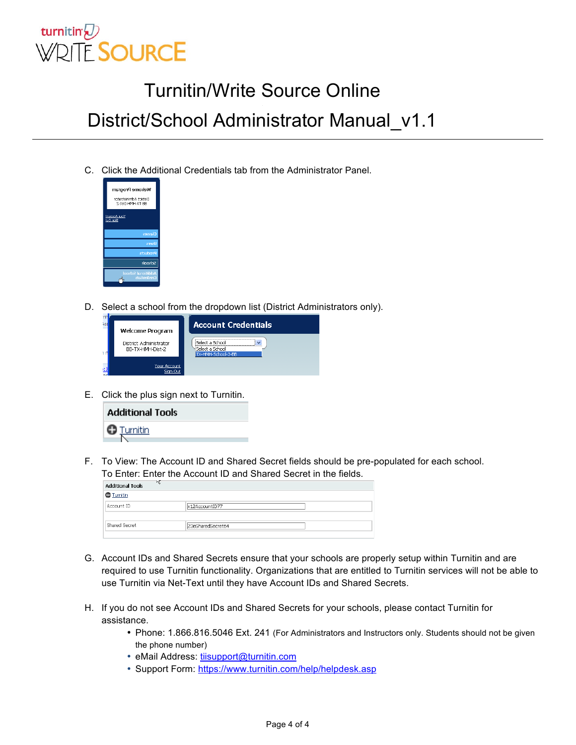

### Turnitin/Write Source Online District/School Administrator Manual\_v1.1

C. Click the Additional Credentials tab from the Administrator Panel.



D. Select a school from the dropdown list (District Administrators only).

| Welcome Program                            | <b>Account Credentials</b>                               |
|--------------------------------------------|----------------------------------------------------------|
| District Administrator<br>BB-TX-HMH-Dist-2 | Select a School<br>Select a School<br>TX-HMH-School-3-BB |
| Your Account<br>Sion Out                   |                                                          |

E. Click the plus sign next to Turnitin.

| <b>Additional Tools</b> |  |
|-------------------------|--|
| $\bigcirc$ Turnitin     |  |

F. To View: The Account ID and Shared Secret fields should be pre-populated for each school. To Enter: Enter the Account ID and Shared Secret in the fields.

| W<br><b>Additional Tools</b> |                   |
|------------------------------|-------------------|
| <b>O</b> Turnitin            |                   |
| Account ID                   | x12AccountID77    |
| Shared Secret                | 23eSharedSecret64 |

- G. Account IDs and Shared Secrets ensure that your schools are properly setup within Turnitin and are required to use Turnitin functionality. Organizations that are entitled to Turnitin services will not be able to use Turnitin via Net-Text until they have Account IDs and Shared Secrets.
- H. If you do not see Account IDs and Shared Secrets for your schools, please contact Turnitin for assistance.
	- Phone: 1.866.816.5046 Ext. 241 (For Administrators and Instructors only. Students should not be given the phone number)
	- eMail Address: tiisupport@turnitin.com
	- Support Form: https://www.turnitin.com/help/helpdesk.asp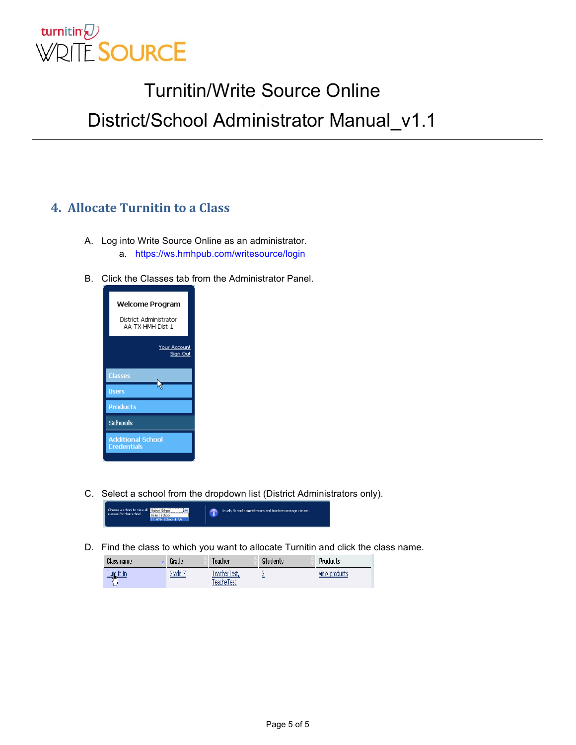

# Turnitin/Write Source Online

District/School Administrator Manual\_v1.1

#### **4. Allocate Turnitin to a Class**

- A. Log into Write Source Online as an administrator.
	- a. https://ws.hmhpub.com/writesource/login
- B. Click the Classes tab from the Administrator Panel.



C. Select a school from the dropdown list (District Administrators only).

| Choose a school to view all Select School<br>classes for that school. | Select School<br>TX-HMH-School-1-AA |  | Usually School administrators and teachers manage classes. |
|-----------------------------------------------------------------------|-------------------------------------|--|------------------------------------------------------------|
|-----------------------------------------------------------------------|-------------------------------------|--|------------------------------------------------------------|

D. Find the class to which you want to allocate Turnitin and click the class name.

| Class name | Grade   | Teacher                    | <b>Students</b> | <b>Products</b> |
|------------|---------|----------------------------|-----------------|-----------------|
| Tujn It In | Grade 7 | TeacherTest,<br>TeacheTest |                 | view products   |